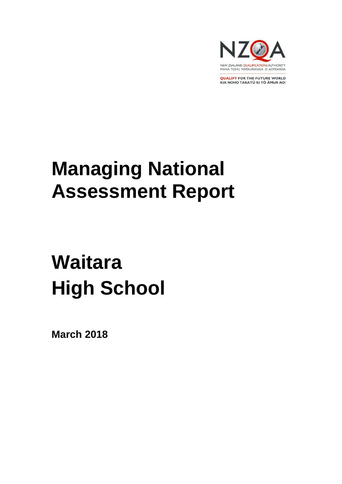

**QUALIFY FOR THE FUTURE WORLD** KIA NOHO TAKATŪ KI TŌ ĀMUA AO!

# **Managing National Assessment Report**

# **Waitara High School**

**March 2018**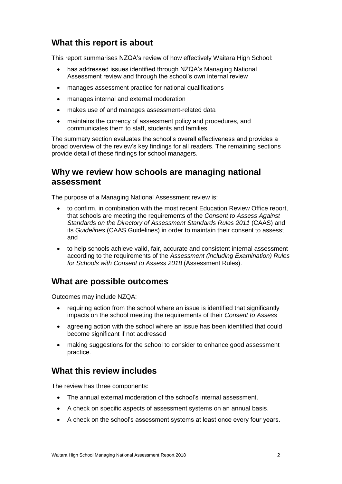## **What this report is about**

This report summarises NZQA's review of how effectively Waitara High School:

- has addressed issues identified through NZQA's Managing National Assessment review and through the school's own internal review
- manages assessment practice for national qualifications
- manages internal and external moderation
- makes use of and manages assessment-related data
- maintains the currency of assessment policy and procedures, and communicates them to staff, students and families.

The summary section evaluates the school's overall effectiveness and provides a broad overview of the review's key findings for all readers. The remaining sections provide detail of these findings for school managers.

## **Why we review how schools are managing national assessment**

The purpose of a Managing National Assessment review is:

- to confirm, in combination with the most recent Education Review Office report, that schools are meeting the requirements of the *Consent to Assess Against Standards on the Directory of Assessment Standards Rules 2011* (CAAS) and its *Guidelines* (CAAS Guidelines) in order to maintain their consent to assess; and
- to help schools achieve valid, fair, accurate and consistent internal assessment according to the requirements of the *Assessment (including Examination) Rules for Schools with Consent to Assess 2018* (Assessment Rules).

### **What are possible outcomes**

Outcomes may include NZQA:

- requiring action from the school where an issue is identified that significantly impacts on the school meeting the requirements of their *Consent to Assess*
- agreeing action with the school where an issue has been identified that could become significant if not addressed
- making suggestions for the school to consider to enhance good assessment practice.

## **What this review includes**

The review has three components:

- The annual external moderation of the school's internal assessment.
- A check on specific aspects of assessment systems on an annual basis.
- A check on the school's assessment systems at least once every four years.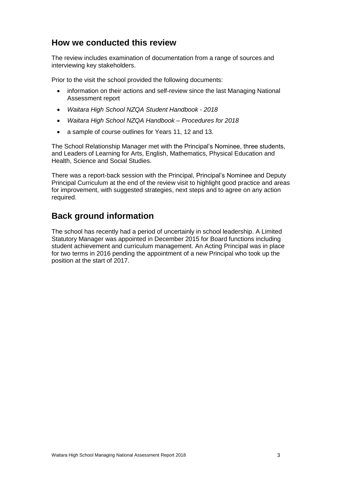## **How we conducted this review**

The review includes examination of documentation from a range of sources and interviewing key stakeholders.

Prior to the visit the school provided the following documents:

- information on their actions and self-review since the last Managing National Assessment report
- *Waitara High School NZQA Student Handbook - 2018*
- *Waitara High School NZQA Handbook – Procedures for 2018*
- a sample of course outlines for Years 11, 12 and 13.

The School Relationship Manager met with the Principal's Nominee, three students, and Leaders of Learning for Arts, English, Mathematics, Physical Education and Health, Science and Social Studies.

There was a report-back session with the Principal, Principal's Nominee and Deputy Principal Curriculum at the end of the review visit to highlight good practice and areas for improvement, with suggested strategies, next steps and to agree on any action required.

### **Back ground information**

The school has recently had a period of uncertainly in school leadership. A Limited Statutory Manager was appointed in December 2015 for Board functions including student achievement and curriculum management. An Acting Principal was in place for two terms in 2016 pending the appointment of a new Principal who took up the position at the start of 2017.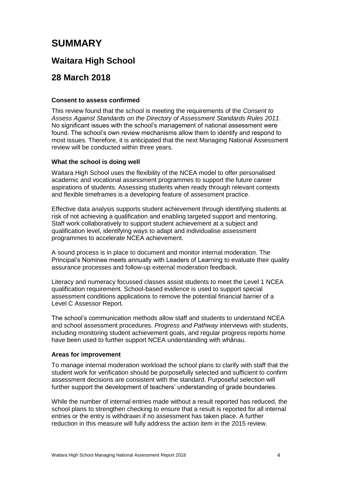## **SUMMARY**

## **Waitara High School**

## **28 March 2018**

#### **Consent to assess confirmed**

This review found that the school is meeting the requirements of the *Consent to Assess Against Standards on the Directory of Assessment Standards Rules 2011*. No significant issues with the school's management of national assessment were found. The school's own review mechanisms allow them to identify and respond to most issues. Therefore, it is anticipated that the next Managing National Assessment review will be conducted within three years.

#### **What the school is doing well**

Waitara High School uses the flexibility of the NCEA model to offer personalised academic and vocational assessment programmes to support the future career aspirations of students. Assessing students when ready through relevant contexts and flexible timeframes is a developing feature of assessment practice.

Effective data analysis supports student achievement through identifying students at risk of not achieving a qualification and enabling targeted support and mentoring. Staff work collaboratively to support student achievement at a subject and qualification level, identifying ways to adapt and individualise assessment programmes to accelerate NCEA achievement.

A sound process is in place to document and monitor internal moderation. The Principal's Nominee meets annually with Leaders of Learning to evaluate their quality assurance processes and follow-up external moderation feedback.

Literacy and numeracy focussed classes assist students to meet the Level 1 NCEA qualification requirement. School-based evidence is used to support special assessment conditions applications to remove the potential financial barrier of a Level C Assessor Report.

The school's communication methods allow staff and students to understand NCEA and school assessment procedures. *Progress and Pathway* interviews with students, including monitoring student achievement goals, and regular progress reports home have been used to further support NCEA understanding with whānau.

#### **Areas for improvement**

To manage internal moderation workload the school plans to clarify with staff that the student work for verification should be purposefully selected and sufficient to confirm assessment decisions are consistent with the standard. Purposeful selection will further support the development of teachers' understanding of grade boundaries.

While the number of internal entries made without a result reported has reduced, the school plans to strengthen checking to ensure that a result is reported for all internal entries or the entry is withdrawn if no assessment has taken place. A further reduction in this measure will fully address the action item in the 2015 review.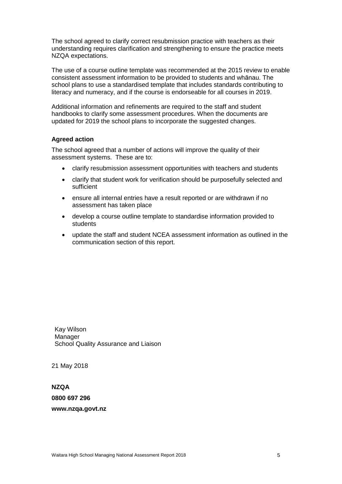The school agreed to clarify correct resubmission practice with teachers as their understanding requires clarification and strengthening to ensure the practice meets NZQA expectations.

The use of a course outline template was recommended at the 2015 review to enable consistent assessment information to be provided to students and whānau. The school plans to use a standardised template that includes standards contributing to literacy and numeracy, and if the course is endorseable for all courses in 2019.

Additional information and refinements are required to the staff and student handbooks to clarify some assessment procedures. When the documents are updated for 2019 the school plans to incorporate the suggested changes.

#### **Agreed action**

The school agreed that a number of actions will improve the quality of their assessment systems. These are to:

- clarify resubmission assessment opportunities with teachers and students
- clarify that student work for verification should be purposefully selected and sufficient
- ensure all internal entries have a result reported or are withdrawn if no assessment has taken place
- develop a course outline template to standardise information provided to students
- update the staff and student NCEA assessment information as outlined in the communication section of this report.

Kay Wilson Manager School Quality Assurance and Liaison

21 May 2018

**NZQA 0800 697 296 www.nzqa.govt.nz**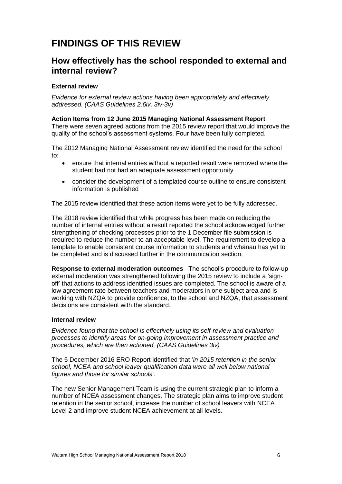## **FINDINGS OF THIS REVIEW**

## **How effectively has the school responded to external and internal review?**

#### **External review**

*Evidence for external review actions having been appropriately and effectively addressed. (CAAS Guidelines 2.6iv, 3iv-3v)*

#### **Action Items from 12 June 2015 Managing National Assessment Report**

There were seven agreed actions from the 2015 review report that would improve the quality of the school's assessment systems. Four have been fully completed.

The 2012 Managing National Assessment review identified the need for the school to:

- ensure that internal entries without a reported result were removed where the student had not had an adequate assessment opportunity
- consider the development of a templated course outline to ensure consistent information is published

The 2015 review identified that these action items were yet to be fully addressed.

The 2018 review identified that while progress has been made on reducing the number of internal entries without a result reported the school acknowledged further strengthening of checking processes prior to the 1 December file submission is required to reduce the number to an acceptable level. The requirement to develop a template to enable consistent course information to students and whānau has yet to be completed and is discussed further in the communication section.

**Response to external moderation outcomes** The school's procedure to follow-up external moderation was strengthened following the 2015 review to include a 'signoff' that actions to address identified issues are completed. The school is aware of a low agreement rate between teachers and moderators in one subject area and is working with NZQA to provide confidence, to the school and NZQA, that assessment decisions are consistent with the standard.

#### **Internal review**

*Evidence found that the school is effectively using its self-review and evaluation processes to identify areas for on-going improvement in assessment practice and procedures, which are then actioned. (CAAS Guidelines 3iv)*

The 5 December 2016 ERO Report identified that '*in 2015 retention in the senior school, NCEA and school leaver qualification data were all well below national figures and those for similar schools'.*

The new Senior Management Team is using the current strategic plan to inform a number of NCEA assessment changes. The strategic plan aims to improve student retention in the senior school, increase the number of school leavers with NCEA Level 2 and improve student NCEA achievement at all levels.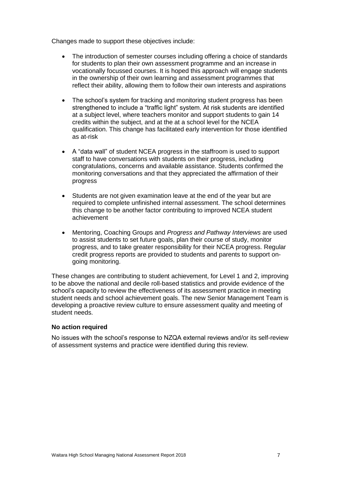Changes made to support these objectives include:

- The introduction of semester courses including offering a choice of standards for students to plan their own assessment programme and an increase in vocationally focussed courses. It is hoped this approach will engage students in the ownership of their own learning and assessment programmes that reflect their ability, allowing them to follow their own interests and aspirations
- The school's system for tracking and monitoring student progress has been strengthened to include a "traffic light" system. At risk students are identified at a subject level, where teachers monitor and support students to gain 14 credits within the subject, and at the at a school level for the NCEA qualification. This change has facilitated early intervention for those identified as at-risk
- A "data wall" of student NCEA progress in the staffroom is used to support staff to have conversations with students on their progress, including congratulations, concerns and available assistance. Students confirmed the monitoring conversations and that they appreciated the affirmation of their progress
- Students are not given examination leave at the end of the year but are required to complete unfinished internal assessment. The school determines this change to be another factor contributing to improved NCEA student achievement
- Mentoring, Coaching Groups and *Progress and Pathway Interviews* are used to assist students to set future goals, plan their course of study, monitor progress, and to take greater responsibility for their NCEA progress. Regular credit progress reports are provided to students and parents to support ongoing monitoring.

These changes are contributing to student achievement, for Level 1 and 2, improving to be above the national and decile roll-based statistics and provide evidence of the school's capacity to review the effectiveness of its assessment practice in meeting student needs and school achievement goals. The new Senior Management Team is developing a proactive review culture to ensure assessment quality and meeting of student needs.

#### **No action required**

No issues with the school's response to NZQA external reviews and/or its self-review of assessment systems and practice were identified during this review.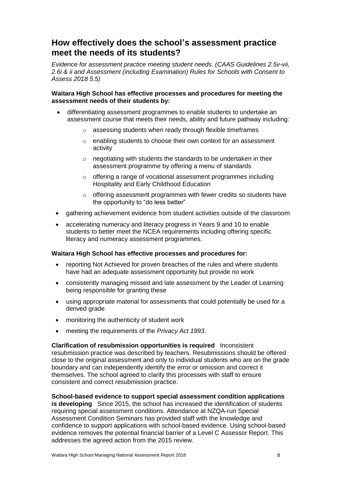## **How effectively does the school's assessment practice meet the needs of its students?**

*Evidence for assessment practice meeting student needs. (CAAS Guidelines 2.5v-vii, 2.6i & ii and Assessment (including Examination) Rules for Schools with Consent to Assess 2018 5.5)*

#### **Waitara High School has effective processes and procedures for meeting the assessment needs of their students by:**

- differentiating assessment programmes to enable students to undertake an assessment course that meets their needs, ability and future pathway including:
	- o assessing students when ready through flexible timeframes
	- o enabling students to choose their own context for an assessment activity
	- $\circ$  negotiating with students the standards to be undertaken in their assessment programme by offering a menu of standards
	- o offering a range of vocational assessment programmes including Hospitality and Early Childhood Education
	- o offering assessment programmes with fewer credits so students have the opportunity to "do less better"
- gathering achievement evidence from student activities outside of the classroom
- accelerating numeracy and literacy progress in Years 9 and 10 to enable students to better meet the NCEA requirements including offering specific literacy and numeracy assessment programmes.

#### **Waitara High School has effective processes and procedures for:**

- reporting Not Achieved for proven breaches of the rules and where students have had an adequate assessment opportunity but provide no work
- consistently managing missed and late assessment by the Leader of Learning being responsible for granting these
- using appropriate material for assessments that could potentially be used for a derived grade
- monitoring the authenticity of student work
- meeting the requirements of the *Privacy Act 1993*.

#### **Clarification of resubmission opportunities is required** Inconsistent resubmission practice was described by teachers. Resubmissions should be offered close to the original assessment and only to individual students who are on the grade boundary and can independently identify the error or omission and correct it themselves. The school agreed to clarify this processes with staff to ensure consistent and correct resubmission practice.

**School-based evidence to support special assessment condition applications is developing** Since 2015, the school has increased the identification of students requiring special assessment conditions. Attendance at NZQA-run Special Assessment Condition Seminars has provided staff with the knowledge and confidence to support applications with school-based evidence. Using school-based evidence removes the potential financial barrier of a Level C Assessor Report. This addresses the agreed action from the 2015 review.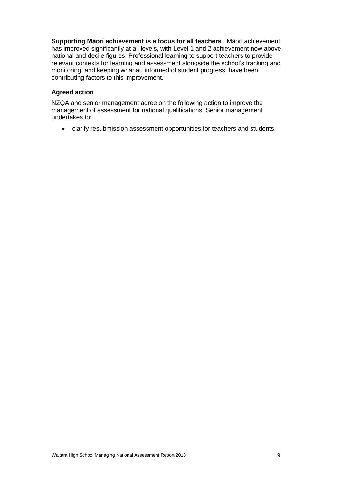**Supporting Māori achievement is a focus for all teachers** Māori achievement has improved significantly at all levels, with Level 1 and 2 achievement now above national and decile figures. Professional learning to support teachers to provide relevant contexts for learning and assessment alongside the school's tracking and monitoring, and keeping whānau informed of student progress, have been contributing factors to this improvement.

#### **Agreed action**

NZQA and senior management agree on the following action to improve the management of assessment for national qualifications. Senior management undertakes to:

• clarify resubmission assessment opportunities for teachers and students.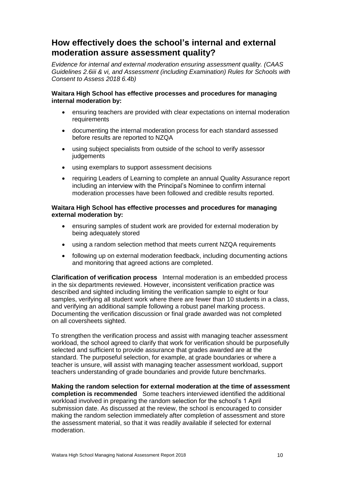## **How effectively does the school's internal and external moderation assure assessment quality?**

*Evidence for internal and external moderation ensuring assessment quality. (CAAS Guidelines 2.6iii & vi, and Assessment (including Examination) Rules for Schools with Consent to Assess 2018 6.4b)*

#### **Waitara High School has effective processes and procedures for managing internal moderation by:**

- ensuring teachers are provided with clear expectations on internal moderation requirements
- documenting the internal moderation process for each standard assessed before results are reported to NZQA
- using subject specialists from outside of the school to verify assessor judgements
- using exemplars to support assessment decisions
- requiring Leaders of Learning to complete an annual Quality Assurance report including an interview with the Principal's Nominee to confirm internal moderation processes have been followed and credible results reported.

#### **Waitara High School has effective processes and procedures for managing external moderation by:**

- ensuring samples of student work are provided for external moderation by being adequately stored
- using a random selection method that meets current NZQA requirements
- following up on external moderation feedback, including documenting actions and monitoring that agreed actions are completed.

**Clarification of verification process** Internal moderation is an embedded process in the six departments reviewed. However, inconsistent verification practice was described and sighted including limiting the verification sample to eight or four samples, verifying all student work where there are fewer than 10 students in a class, and verifying an additional sample following a robust panel marking process. Documenting the verification discussion or final grade awarded was not completed on all coversheets sighted.

To strengthen the verification process and assist with managing teacher assessment workload, the school agreed to clarify that work for verification should be purposefully selected and sufficient to provide assurance that grades awarded are at the standard. The purposeful selection, for example, at grade boundaries or where a teacher is unsure, will assist with managing teacher assessment workload, support teachers understanding of grade boundaries and provide future benchmarks.

**Making the random selection for external moderation at the time of assessment completion is recommended** Some teachers interviewed identified the additional workload involved in preparing the random selection for the school's 1 April submission date. As discussed at the review, the school is encouraged to consider making the random selection immediately after completion of assessment and store the assessment material, so that it was readily available if selected for external moderation.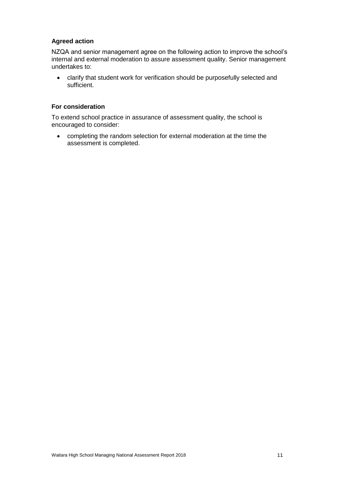#### **Agreed action**

NZQA and senior management agree on the following action to improve the school's internal and external moderation to assure assessment quality. Senior management undertakes to:

• clarify that student work for verification should be purposefully selected and sufficient.

#### **For consideration**

To extend school practice in assurance of assessment quality, the school is encouraged to consider:

• completing the random selection for external moderation at the time the assessment is completed.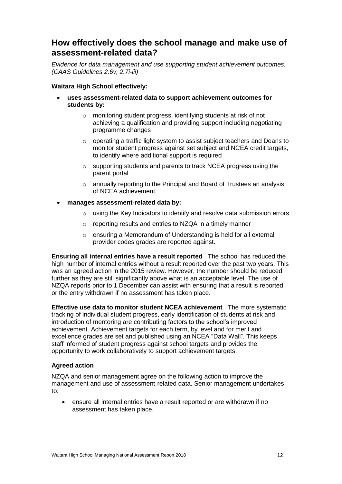## **How effectively does the school manage and make use of assessment-related data?**

*Evidence for data management and use supporting student achievement outcomes. (CAAS Guidelines 2.6v, 2.7i-iii)*

#### **Waitara High School effectively:**

- **uses assessment-related data to support achievement outcomes for students by:**
	- o monitoring student progress, identifying students at risk of not achieving a qualification and providing support including negotiating programme changes
	- o operating a traffic light system to assist subject teachers and Deans to monitor student progress against set subject and NCEA credit targets, to identify where additional support is required
	- o supporting students and parents to track NCEA progress using the parent portal
	- $\circ$  annually reporting to the Principal and Board of Trustees an analysis of NCEA achievement.
- **manages assessment-related data by:**
	- o using the Key Indicators to identify and resolve data submission errors
	- o reporting results and entries to NZQA in a timely manner
	- o ensuring a Memorandum of Understanding is held for all external provider codes grades are reported against.

**Ensuring all internal entries have a result reported** The school has reduced the high number of internal entries without a result reported over the past two years. This was an agreed action in the 2015 review. However, the number should be reduced further as they are still significantly above what is an acceptable level. The use of NZQA reports prior to 1 December can assist with ensuring that a result is reported or the entry withdrawn if no assessment has taken place.

**Effective use data to monitor student NCEA achievement** The more systematic tracking of individual student progress, early identification of students at risk and introduction of mentoring are contributing factors to the school's improved achievement. Achievement targets for each term, by level and for merit and excellence grades are set and published using an NCEA "Data Wall". This keeps staff informed of student progress against school targets and provides the opportunity to work collaboratively to support achievement targets.

#### **Agreed action**

NZQA and senior management agree on the following action to improve the management and use of assessment-related data. Senior management undertakes to:

• ensure all internal entries have a result reported or are withdrawn if no assessment has taken place.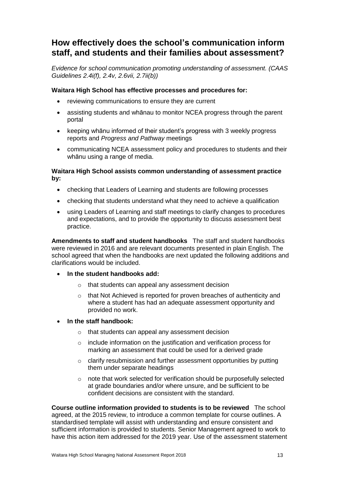## **How effectively does the school's communication inform staff, and students and their families about assessment?**

*Evidence for school communication promoting understanding of assessment. (CAAS Guidelines 2.4i(f), 2.4v, 2.6vii, 2.7ii(b))*

#### **Waitara High School has effective processes and procedures for:**

- reviewing communications to ensure they are current
- assisting students and whānau to monitor NCEA progress through the parent portal
- keeping whānu informed of their student's progress with 3 weekly progress reports and *Progress and Pathway* meetings
- communicating NCEA assessment policy and procedures to students and their whānu using a range of media.

#### **Waitara High School assists common understanding of assessment practice by:**

- checking that Leaders of Learning and students are following processes
- checking that students understand what they need to achieve a qualification
- using Leaders of Learning and staff meetings to clarify changes to procedures and expectations, and to provide the opportunity to discuss assessment best practice.

**Amendments to staff and student handbooks** The staff and student handbooks were reviewed in 2016 and are relevant documents presented in plain English. The school agreed that when the handbooks are next updated the following additions and clarifications would be included.

- **In the student handbooks add:**
	- o that students can appeal any assessment decision
	- $\circ$  that Not Achieved is reported for proven breaches of authenticity and where a student has had an adequate assessment opportunity and provided no work.
- **In the staff handbook:**
	- o that students can appeal any assessment decision
	- o include information on the justification and verification process for marking an assessment that could be used for a derived grade
	- o clarify resubmission and further assessment opportunities by putting them under separate headings
	- o note that work selected for verification should be purposefully selected at grade boundaries and/or where unsure, and be sufficient to be confident decisions are consistent with the standard.

**Course outline information provided to students is to be reviewed** The school agreed, at the 2015 review, to introduce a common template for course outlines. A standardised template will assist with understanding and ensure consistent and sufficient information is provided to students. Senior Management agreed to work to have this action item addressed for the 2019 year. Use of the assessment statement